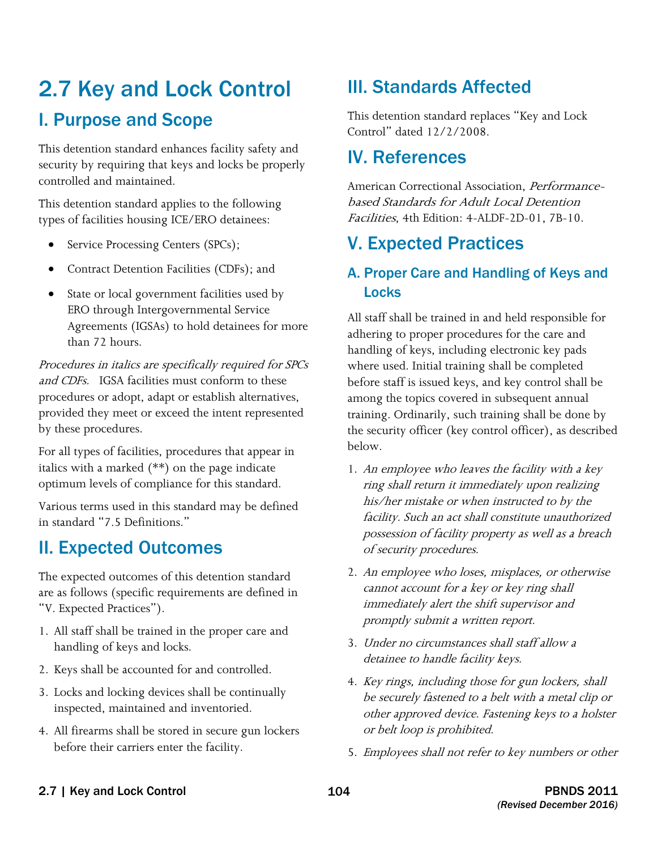# 2.7 Key and Lock Control I. Purpose and Scope

 security by requiring that keys and locks be properly This detention standard enhances facility safety and controlled and maintained.

This detention standard applies to the following types of facilities housing ICE/ERO detainees:

- Service Processing Centers (SPCs);
- Contract Detention Facilities (CDFs); and
- • State or local government facilities used by ERO through Intergovernmental Service Agreements (IGSAs) to hold detainees for more than 72 hours.

and CDFs. IGSA facilities must conform to these Procedures in italics are specifically required for SPCs procedures or adopt, adapt or establish alternatives, provided they meet or exceed the intent represented by these procedures.

For all types of facilities, procedures that appear in italics with a marked (\*\*) on the page indicate optimum levels of compliance for this standard.

Various terms used in this standard may be defined in standard "7.5 Definitions."

## II. Expected Outcomes

The expected outcomes of this detention standard are as follows (specific requirements are defined in "V. Expected Practices").

- 1. All staff shall be trained in the proper care and handling of keys and locks.
- 2. Keys shall be accounted for and controlled.
- 3. Locks and locking devices shall be continually inspected, maintained and inventoried.
- 4. All firearms shall be stored in secure gun lockers before their carriers enter the facility.

## III. Standards Affected

This detention standard replaces "Key and Lock Control" dated 12/2/2008.

## IV. References

American Correctional Association, *Performance*based Standards for Adult Local Detention Facilities, 4th Edition: 4-ALDF-2D-01, 7B-10.

## V. Expected Practices

### A. Proper Care and Handling of Keys and Locks

All staff shall be trained in and held responsible for adhering to proper procedures for the care and handling of keys, including electronic key pads where used. Initial training shall be completed before staff is issued keys, and key control shall be among the topics covered in subsequent annual training. Ordinarily, such training shall be done by the security officer (key control officer), as described below.

- 1. An employee who leaves the facility with a key ring shall return it immediately upon realizing his/her mistake or when instructed to by the facility. Such an act shall constitute unauthorized possession of facility property as well as a breach of security procedures.
- 2. An employee who loses, misplaces, or otherwise cannot account for a key or key ring shall immediately alert the shift supervisor and promptly submit a written report.
- 3. Under no circumstances shall staff allow a detainee to handle facility keys.
- 4. Key rings, including those for gun lockers, shall be securely fastened to a belt with a metal clip or other approved device. Fastening keys to a holster or belt loop is prohibited.
- 5. Employees shall not refer to key numbers or other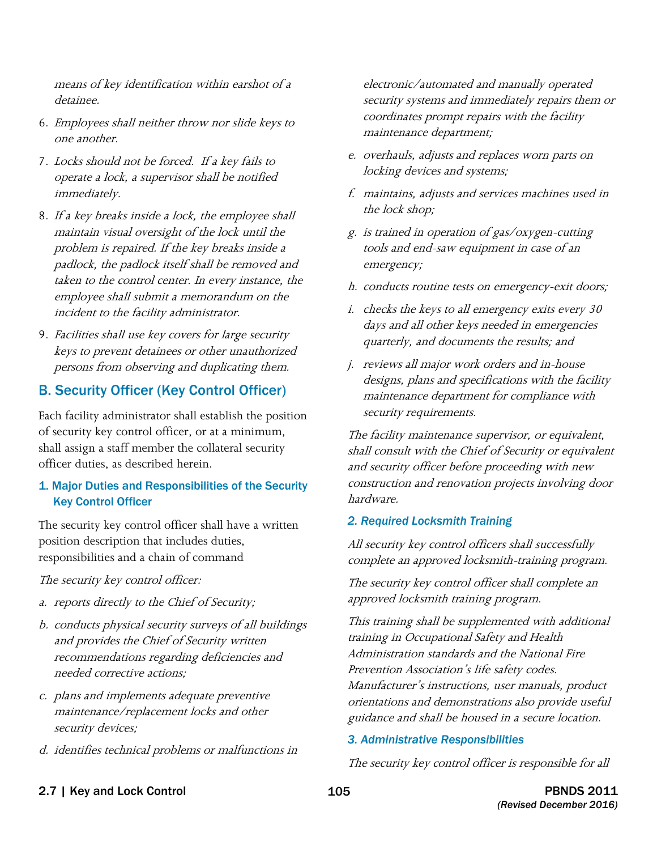means of key identification within earshot of a detainee.

- 6. Employees shall neither throw nor slide keys to one another.
- 7. Locks should not be forced. If a key fails to operate a lock, a supervisor shall be notified immediately.
- 8. If a key breaks inside a lock, the employee shall maintain visual oversight of the lock until the problem is repaired. If the key breaks inside a padlock, the padlock itself shall be removed and taken to the control center. In every instance, the employee shall submit a memorandum on the incident to the facility administrator.
- 9. Facilities shall use key covers for large security keys to prevent detainees or other unauthorized persons from observing and duplicating them.

### B. Security Officer (Key Control Officer)

Each facility administrator shall establish the position of security key control officer, or at a minimum, shall assign a staff member the collateral security officer duties, as described herein.

### 1. Major Duties and Responsibilities of the Security Key Control Officer

The security key control officer shall have a written position description that includes duties, responsibilities and a chain of command

The security key control officer:

- a. reports directly to the Chief of Security;
- b. conducts physical security surveys of all buildings and provides the Chief of Security written recommendations regarding deficiencies and needed corrective actions;
- c. plans and implements adequate preventive maintenance/replacement locks and other security devices;
- d. identifies technical problems or malfunctions in

electronic/automated and manually operated security systems and immediately repairs them or coordinates prompt repairs with the facility maintenance department;

- e. overhauls, adjusts and replaces worn parts on locking devices and systems;
- f. maintains, adjusts and services machines used in the lock shop;
- g. is trained in operation of gas/oxygen-cutting tools and end-saw equipment in case of an emergency;
- h. conducts routine tests on emergency-exit doors;
- $i.$  checks the keys to all emergency exits every 30 days and all other keys needed in emergencies quarterly, and documents the results; and
- j. reviews all major work orders and in-house designs, plans and specifications with the facility maintenance department for compliance with security requirements.

The facility maintenance supervisor, or equivalent, shall consult with the Chief of Security or equivalent and security officer before proceeding with new construction and renovation projects involving door hardware.

### *2. Required Locksmith Training*

All security key control officers shall successfully complete an approved locksmith-training program.

The security key control officer shall complete an approved locksmith training program.

 training in Occupational Safety and Health This training shall be supplemented with additional Administration standards and the National Fire Prevention Association's life safety codes. Manufacturer's instructions, user manuals, product orientations and demonstrations also provide useful guidance and shall be housed in a secure location.

### *3. Administrative Responsibilities*

The security key control officer is responsible for all

2.7 | Key and Lock Control 2.7 | Key and Lock Control 2011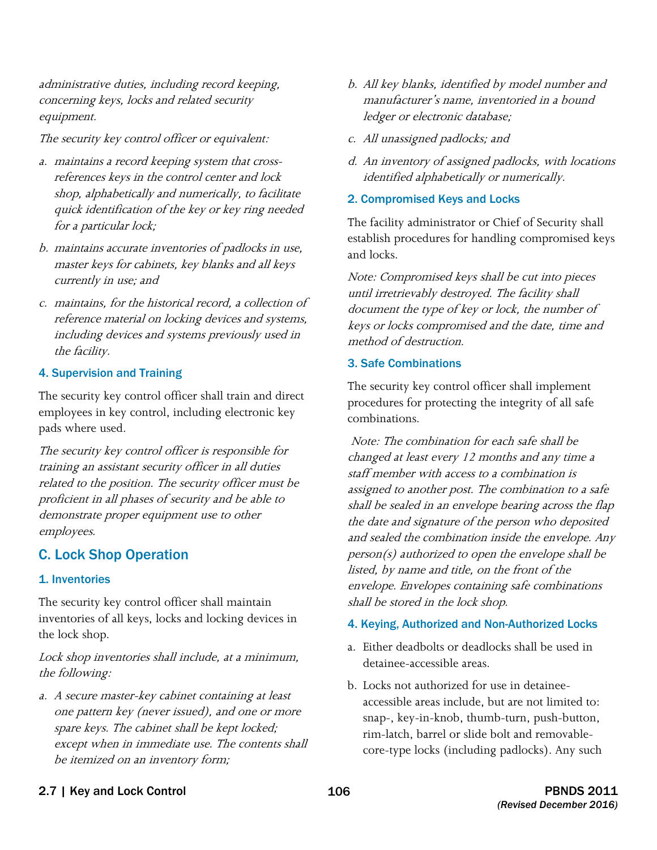concerning keys, locks and related security administrative duties, including record keeping, equipment.

The security key control officer or equivalent:

- a. maintains a record keeping system that cross- references keys in the control center and lock shop, alphabetically and numerically, to facilitate quick identification of the key or key ring needed for a particular lock;
- b. maintains accurate inventories of padlocks in use, master keys for cabinets, key blanks and all keys currently in use; and
- reference material on locking devices and systems, including devices and systems previously used in c. maintains, for the historical record, a collection of the facility.

### 4. Supervision and Training

The security key control officer shall train and direct employees in key control, including electronic key pads where used.

The security key control officer is responsible for training an assistant security officer in all duties related to the position. The security officer must be proficient in all phases of security and be able to demonstrate proper equipment use to other employees.

### C. Lock Shop Operation

### 1. Inventories

The security key control officer shall maintain inventories of all keys, locks and locking devices in the lock shop.

Lock shop inventories shall include, at a minimum, the following:

a. A secure master-key cabinet containing at least one pattern key (never issued), and one or more spare keys. The cabinet shall be kept locked; except when in immediate use. The contents shall be itemized on an inventory form;

- b. All key blanks, identified by model number and manufacturer's name, inventoried in a bound ledger or electronic database;
- c. All unassigned padlocks; and
- d. An inventory of assigned padlocks, with locations identified alphabetically or numerically.
- 2. Compromised Keys and Locks

The facility administrator or Chief of Security shall establish procedures for handling compromised keys and locks.

Note: Compromised keys shall be cut into pieces until irretrievably destroyed. The facility shall document the type of key or lock, the number of keys or locks compromised and the date, time and method of destruction.

### 3. Safe Combinations

The security key control officer shall implement procedures for protecting the integrity of all safe combinations.

Note: The combination for each safe shall be changed at least every 12 months and any time a staff member with access to a combination is assigned to another post. The combination to a safe shall be sealed in an envelope bearing across the flap the date and signature of the person who deposited and sealed the combination inside the envelope. Any person(s) authorized to open the envelope shall be listed, by name and title, on the front of the envelope. Envelopes containing safe combinations shall be stored in the lock shop.

### 4. Keying, Authorized and Non-Authorized Locks

- a. Either deadbolts or deadlocks shall be used in detainee-accessible areas.
- b. Locks not authorized for use in detaineeaccessible areas include, but are not limited to: snap-, key-in-knob, thumb-turn, push-button, rim-latch, barrel or slide bolt and removablecore-type locks (including padlocks). Any such

### 2.7 | Key and Lock Control 2011 2.7 | Key and Lock Control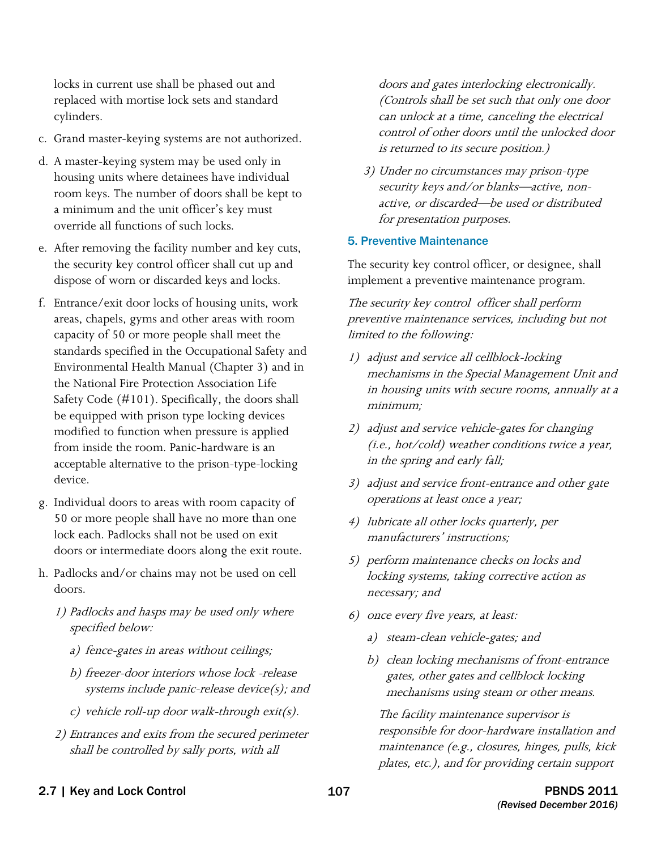locks in current use shall be phased out and replaced with mortise lock sets and standard cylinders.

- c. Grand master-keying systems are not authorized.
- d. A master-keying system may be used only in housing units where detainees have individual room keys. The number of doors shall be kept to a minimum and the unit officer's key must override all functions of such locks.
- e. After removing the facility number and key cuts, the security key control officer shall cut up and dispose of worn or discarded keys and locks.
- f. Entrance/exit door locks of housing units, work areas, chapels, gyms and other areas with room capacity of 50 or more people shall meet the standards specified in the Occupational Safety and Environmental Health Manual (Chapter 3) and in the National Fire Protection Association Life Safety Code (#101). Specifically, the doors shall be equipped with prison type locking devices modified to function when pressure is applied from inside the room. Panic-hardware is an acceptable alternative to the prison-type-locking device.
- g. Individual doors to areas with room capacity of 50 or more people shall have no more than one lock each. Padlocks shall not be used on exit doors or intermediate doors along the exit route.
- h. Padlocks and/or chains may not be used on cell doors.
	- 1) Padlocks and hasps may be used only where specified below:
		- a) fence-gates in areas without ceilings;
		- b) freezer-door interiors whose lock -release systems include panic-release device(s); and
		- c) vehicle roll-up door walk-through exit(s).
	- 2) Entrances and exits from the secured perimeter shall be controlled by sally ports, with all

doors and gates interlocking electronically. (Controls shall be set such that only one door can unlock at a time, canceling the electrical control of other doors until the unlocked door is returned to its secure position.)

3) Under no circumstances may prison-type security keys and/or blanks—active, nonactive, or discarded—be used or distributed for presentation purposes.

#### 5. Preventive Maintenance

The security key control officer, or designee, shall implement a preventive maintenance program.

The security key control officer shall perform preventive maintenance services, including but not limited to the following:

- 1) adjust and service all cellblock-locking mechanisms in the Special Management Unit and in housing units with secure rooms, annually at a minimum;
- 2) adjust and service vehicle-gates for changing (i.e., hot/cold) weather conditions twice a year, in the spring and early fall;
- 3) adjust and service front-entrance and other gate operations at least once a year;
- 4) lubricate all other locks quarterly, per manufacturers' instructions;
- necessary; and 5) perform maintenance checks on locks and locking systems, taking corrective action as
- $6)$  once every five years, at least:
	- a) steam-clean vehicle-gates; and
	- b) clean locking mechanisms of front-entrance gates, other gates and cellblock locking mechanisms using steam or other means.

 The facility maintenance supervisor is responsible for door-hardware installation and maintenance (e.g., closures, hinges, pulls, kick plates, etc.), and for providing certain support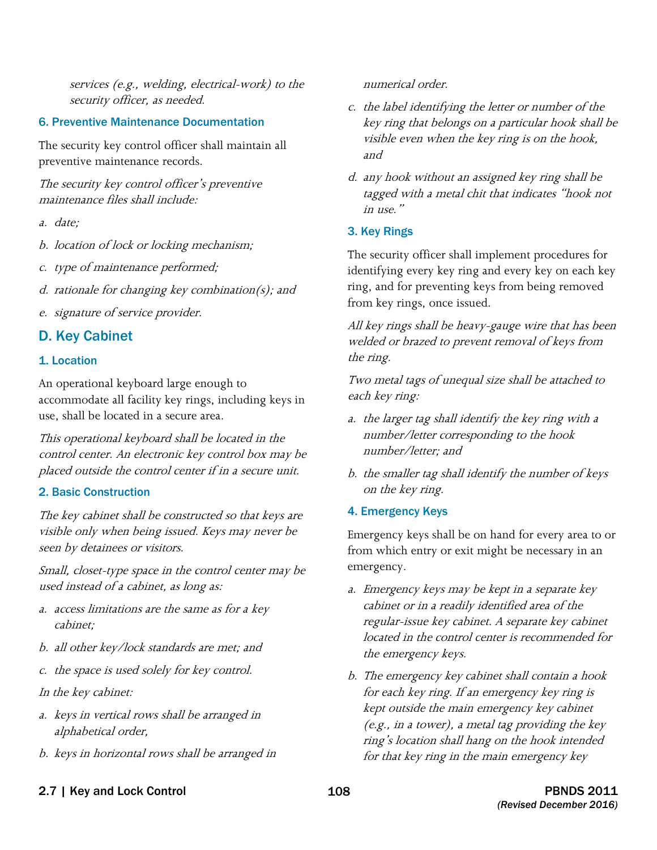services (e.g., welding, electrical-work) to the security officer, as needed.

### 6. Preventive Maintenance Documentation

The security key control officer shall maintain all preventive maintenance records.

The security key control officer's preventive maintenance files shall include:

- a. date:
- b. location of lock or locking mechanism;
- c. type of maintenance performed;
- d. rationale for changing key combination(s); and
- e. signature of service provider.

### D. Key Cabinet

### 1. Location

An operational keyboard large enough to accommodate all facility key rings, including keys in use, shall be located in a secure area.

 control center. An electronic key control box may be This operational keyboard shall be located in the placed outside the control center if in a secure unit.

### 2. Basic Construction

The key cabinet shall be constructed so that keys are visible only when being issued. Keys may never be seen by detainees or visitors.

 Small, closet-type space in the control center may be used instead of a cabinet, as long as:

- a. access limitations are the same as for a key cabinet;
- b. all other key/lock standards are met; and
- c. the space is used solely for key control.
- In the key cabinet:
- alphabetical order, a. keys in vertical rows shall be arranged in
- b. keys in horizontal rows shall be arranged in

numerical order.

- c. the label identifying the letter or number of the key ring that belongs on a particular hook shall be visible even when the key ring is on the hook, and
- d. any hook without an assigned key ring shall be tagged with a metal chit that indicates "hook not in use."

### 3. Key Rings

The security officer shall implement procedures for identifying every key ring and every key on each key ring, and for preventing keys from being removed from key rings, once issued.

All key rings shall be heavy-gauge wire that has been welded or brazed to prevent removal of keys from the ring.

Two metal tags of unequal size shall be attached to each key ring:

- a. the larger tag shall identify the key ring with a number/letter corresponding to the hook number/letter; and
- b. the smaller tag shall identify the number of keys on the key ring.
- 4. Emergency Keys

Emergency keys shall be on hand for every area to or from which entry or exit might be necessary in an emergency.

- a. Emergency keys may be kept in a separate key cabinet or in a readily identified area of the regular-issue key cabinet. A separate key cabinet located in the control center is recommended for the emergency keys.
- b. The emergency key cabinet shall contain a hook for each key ring. If an emergency key ring is kept outside the main emergency key cabinet (e.g., in a tower), a metal tag providing the key ring's location shall hang on the hook intended for that key ring in the main emergency key
- 2.7 | Key and Lock Control 2.7 | Key and Lock Control 2011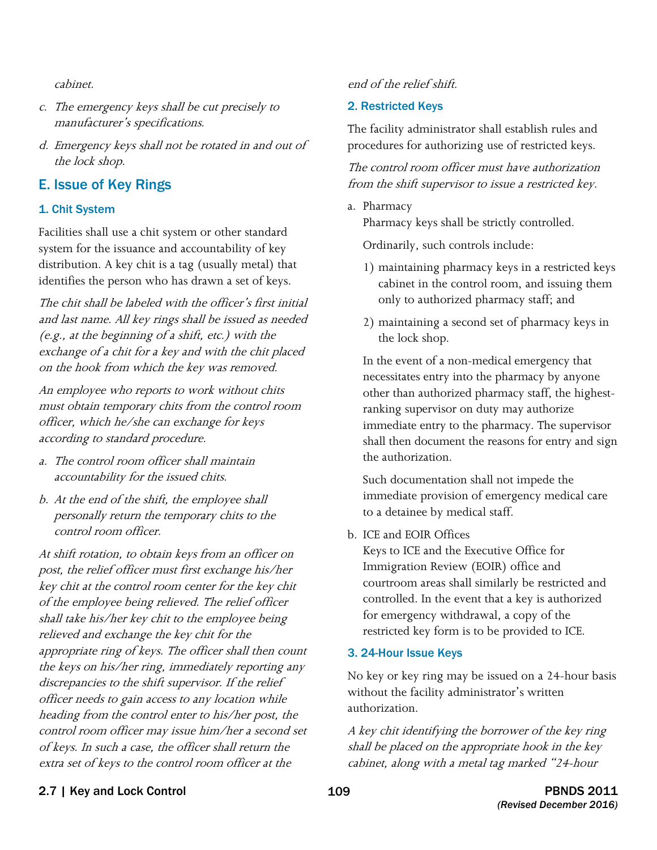cabinet.

- c. The emergency keys shall be cut precisely to manufacturer's specifications.
- d. Emergency keys shall not be rotated in and out of the lock shop.

### E. Issue of Key Rings

#### 1. Chit System

Facilities shall use a chit system or other standard system for the issuance and accountability of key distribution. A key chit is a tag (usually metal) that identifies the person who has drawn a set of keys.

The chit shall be labeled with the officer's first initial and last name. All key rings shall be issued as needed (e.g., at the beginning of a shift, etc.) with the exchange of a chit for a key and with the chit placed on the hook from which the key was removed.

An employee who reports to work without chits must obtain temporary chits from the control room officer, which he/she can exchange for keys according to standard procedure.

- a. The control room officer shall maintain accountability for the issued chits.
- b. At the end of the shift, the employee shall personally return the temporary chits to the control room officer.

 discrepancies to the shift supervisor. If the relief At shift rotation, to obtain keys from an officer on post, the relief officer must first exchange his/her key chit at the control room center for the key chit of the employee being relieved. The relief officer shall take his/her key chit to the employee being relieved and exchange the key chit for the appropriate ring of keys. The officer shall then count the keys on his/her ring, immediately reporting any officer needs to gain access to any location while heading from the control enter to his/her post, the control room officer may issue him/her a second set of keys. In such a case, the officer shall return the extra set of keys to the control room officer at the

#### end of the relief shift.

#### 2. Restricted Keys

The facility administrator shall establish rules and procedures for authorizing use of restricted keys.

The control room officer must have authorization from the shift supervisor to issue a restricted key.

a. Pharmacy

Pharmacy keys shall be strictly controlled.

Ordinarily, such controls include:

- 1) maintaining pharmacy keys in a restricted keys cabinet in the control room, and issuing them only to authorized pharmacy staff; and
- 2) maintaining a second set of pharmacy keys in the lock shop.

 In the event of a non-medical emergency that necessitates entry into the pharmacy by anyone other than authorized pharmacy staff, the highest- ranking supervisor on duty may authorize shall then document the reasons for entry and sign immediate entry to the pharmacy. The supervisor the authorization.

 immediate provision of emergency medical care Such documentation shall not impede the to a detainee by medical staff.

b. ICE and EOIR Offices

Keys to ICE and the Executive Office for Immigration Review (EOIR) office and courtroom areas shall similarly be restricted and controlled. In the event that a key is authorized for emergency withdrawal, a copy of the restricted key form is to be provided to ICE.

#### 3. 24-Hour Issue Keys

No key or key ring may be issued on a 24-hour basis without the facility administrator's written authorization.

A key chit identifying the borrower of the key ring shall be placed on the appropriate hook in the key cabinet, along with a metal tag marked "24-hour

### 2.7 | Key and Lock Control 2.7 | Key and Lock Control 2011